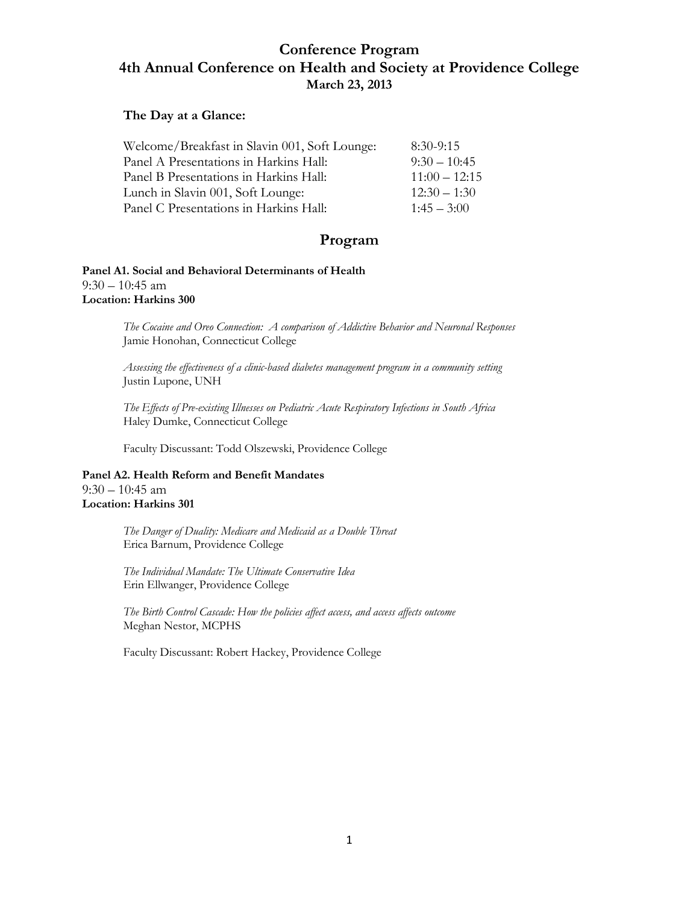# **Conference Program 4th Annual Conference on Health and Society at Providence College March 23, 2013**

### **The Day at a Glance:**

| Welcome/Breakfast in Slavin 001, Soft Lounge: | $8:30-9:15$     |
|-----------------------------------------------|-----------------|
| Panel A Presentations in Harkins Hall:        | $9:30 - 10:45$  |
| Panel B Presentations in Harkins Hall:        | $11:00 - 12:15$ |
| Lunch in Slavin 001, Soft Lounge:             | $12:30 - 1:30$  |
| Panel C Presentations in Harkins Hall:        | $1:45 - 3:00$   |

# **Program**

**Panel A1. Social and Behavioral Determinants of Health**  $9:30 - 10:45$  am **Location: Harkins 300**

> *The Cocaine and Oreo Connection: A comparison of Addictive Behavior and Neuronal Responses* Jamie Honohan, Connecticut College

*Assessing the effectiveness of a clinic-based diabetes management program in a community setting* Justin Lupone, UNH

*The Effects of Pre-existing Illnesses on Pediatric Acute Respiratory Infections in South Africa* Haley Dumke, Connecticut College

Faculty Discussant: Todd Olszewski, Providence College

**Panel A2. Health Reform and Benefit Mandates**  9:30 – 10:45 am **Location: Harkins 301**

> *The Danger of Duality: Medicare and Medicaid as a Double Threat* Erica Barnum, Providence College

*The Individual Mandate: The Ultimate Conservative Idea* Erin Ellwanger, Providence College

*The Birth Control Cascade: How the policies affect access, and access affects outcome* Meghan Nestor, MCPHS

Faculty Discussant: Robert Hackey, Providence College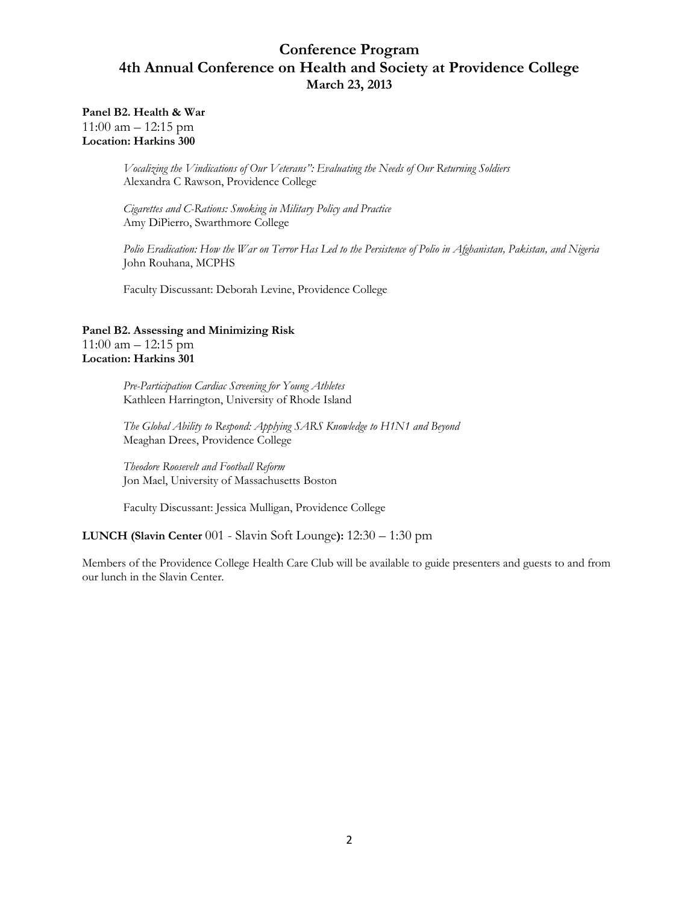# **Conference Program 4th Annual Conference on Health and Society at Providence College March 23, 2013**

**Panel B2. Health & War**  $11:00$  am  $-12:15$  pm **Location: Harkins 300**

> *Vocalizing the Vindications of Our Veterans": Evaluating the Needs of Our Returning Soldiers* Alexandra C Rawson, Providence College

*Cigarettes and C-Rations: Smoking in Military Policy and Practice* Amy DiPierro, Swarthmore College

*Polio Eradication: How the War on Terror Has Led to the Persistence of Polio in Afghanistan, Pakistan, and Nigeria* John Rouhana, MCPHS

Faculty Discussant: Deborah Levine, Providence College

### **Panel B2. Assessing and Minimizing Risk** 11:00 am – 12:15 pm **Location: Harkins 301**

*Pre-Participation Cardiac Screening for Young Athletes* Kathleen Harrington, University of Rhode Island

*The Global Ability to Respond: Applying SARS Knowledge to H1N1 and Beyond* Meaghan Drees, Providence College

*Theodore Roosevelt and Football Reform* Jon Mael, University of Massachusetts Boston

Faculty Discussant: Jessica Mulligan, Providence College

### **LUNCH (Slavin Center** 001 - Slavin Soft Lounge**):** 12:30 – 1:30 pm

Members of the Providence College Health Care Club will be available to guide presenters and guests to and from our lunch in the Slavin Center.